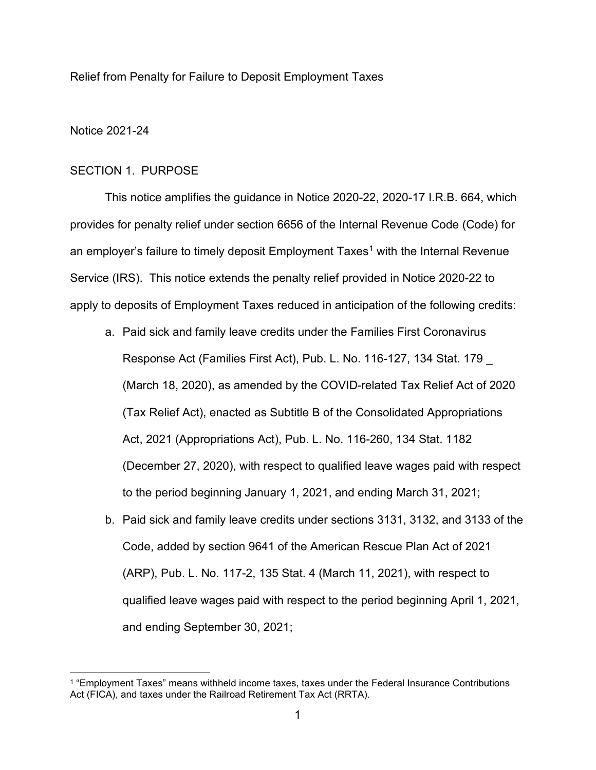Relief from Penalty for Failure to Deposit Employment Taxes

### Notice 2021-24

### SECTION 1. PURPOSE

This notice amplifies the guidance in Notice 2020-22, 2020-17 I.R.B. 664, which provides for penalty relief under section 6656 of the Internal Revenue Code (Code) for an employer's failure to timely deposit Employment Taxes<sup>[1](#page-0-0)</sup> with the Internal Revenue Service (IRS). This notice extends the penalty relief provided in Notice 2020-22 to apply to deposits of Employment Taxes reduced in anticipation of the following credits:

- a. Paid sick and family leave credits under the Families First Coronavirus Response Act (Families First Act), Pub. L. No. 116-127, 134 Stat. 179 \_ (March 18, 2020), as amended by the COVID-related Tax Relief Act of 2020 (Tax Relief Act), enacted as Subtitle B of the Consolidated Appropriations Act, 2021 (Appropriations Act), Pub. L. No. 116-260, 134 Stat. 1182 (December 27, 2020), with respect to qualified leave wages paid with respect to the period beginning January 1, 2021, and ending March 31, 2021;
- b. Paid sick and family leave credits under sections 3131, 3132, and 3133 of the Code, added by section 9641 of the American Rescue Plan Act of 2021 (ARP), Pub. L. No. 117-2, 135 Stat. 4 (March 11, 2021), with respect to qualified leave wages paid with respect to the period beginning April 1, 2021, and ending September 30, 2021;

<span id="page-0-0"></span><sup>1</sup> "Employment Taxes" means withheld income taxes, taxes under the Federal Insurance Contributions Act (FICA), and taxes under the Railroad Retirement Tax Act (RRTA).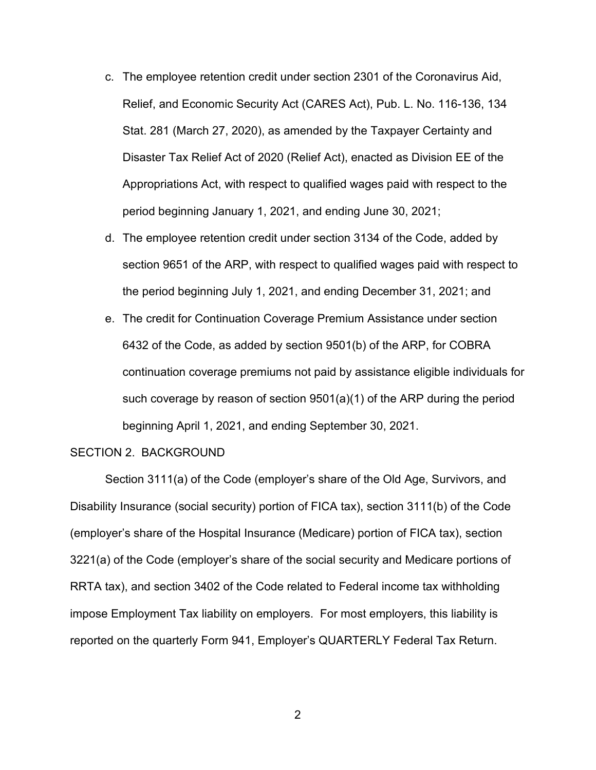- c. The employee retention credit under section 2301 of the Coronavirus Aid, Relief, and Economic Security Act (CARES Act), Pub. L. No. 116-136, 134 Stat. 281 (March 27, 2020), as amended by the Taxpayer Certainty and Disaster Tax Relief Act of 2020 (Relief Act), enacted as Division EE of the Appropriations Act, with respect to qualified wages paid with respect to the period beginning January 1, 2021, and ending June 30, 2021;
- d. The employee retention credit under section 3134 of the Code, added by section 9651 of the ARP, with respect to qualified wages paid with respect to the period beginning July 1, 2021, and ending December 31, 2021; and
- e. The credit for Continuation Coverage Premium Assistance under section 6432 of the Code, as added by section 9501(b) of the ARP, for COBRA continuation coverage premiums not paid by assistance eligible individuals for such coverage by reason of section 9501(a)(1) of the ARP during the period beginning April 1, 2021, and ending September 30, 2021.

#### SECTION 2. BACKGROUND

Section 3111(a) of the Code (employer's share of the Old Age, Survivors, and Disability Insurance (social security) portion of FICA tax), section 3111(b) of the Code (employer's share of the Hospital Insurance (Medicare) portion of FICA tax), section 3221(a) of the Code (employer's share of the social security and Medicare portions of RRTA tax), and section 3402 of the Code related to Federal income tax withholding impose Employment Tax liability on employers. For most employers, this liability is reported on the quarterly Form 941, Employer's QUARTERLY Federal Tax Return.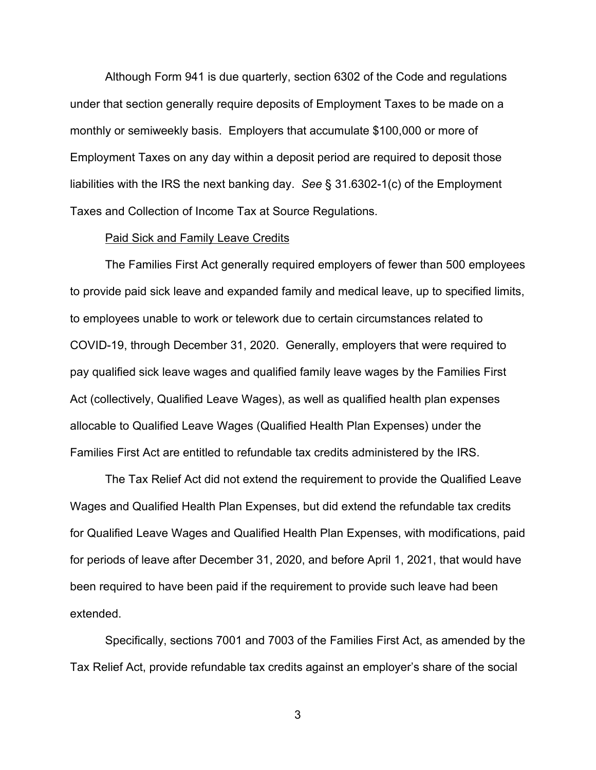Although Form 941 is due quarterly, section 6302 of the Code and regulations under that section generally require deposits of Employment Taxes to be made on a monthly or semiweekly basis. Employers that accumulate \$100,000 or more of Employment Taxes on any day within a deposit period are required to deposit those liabilities with the IRS the next banking day. *See* § 31.6302-1(c) of the Employment Taxes and Collection of Income Tax at Source Regulations.

#### Paid Sick and Family Leave Credits

The Families First Act generally required employers of fewer than 500 employees to provide paid sick leave and expanded family and medical leave, up to specified limits, to employees unable to work or telework due to certain circumstances related to COVID-19, through December 31, 2020. Generally, employers that were required to pay qualified sick leave wages and qualified family leave wages by the Families First Act (collectively, Qualified Leave Wages), as well as qualified health plan expenses allocable to Qualified Leave Wages (Qualified Health Plan Expenses) under the Families First Act are entitled to refundable tax credits administered by the IRS.

The Tax Relief Act did not extend the requirement to provide the Qualified Leave Wages and Qualified Health Plan Expenses, but did extend the refundable tax credits for Qualified Leave Wages and Qualified Health Plan Expenses, with modifications, paid for periods of leave after December 31, 2020, and before April 1, 2021, that would have been required to have been paid if the requirement to provide such leave had been extended.

Specifically, sections 7001 and 7003 of the Families First Act, as amended by the Tax Relief Act, provide refundable tax credits against an employer's share of the social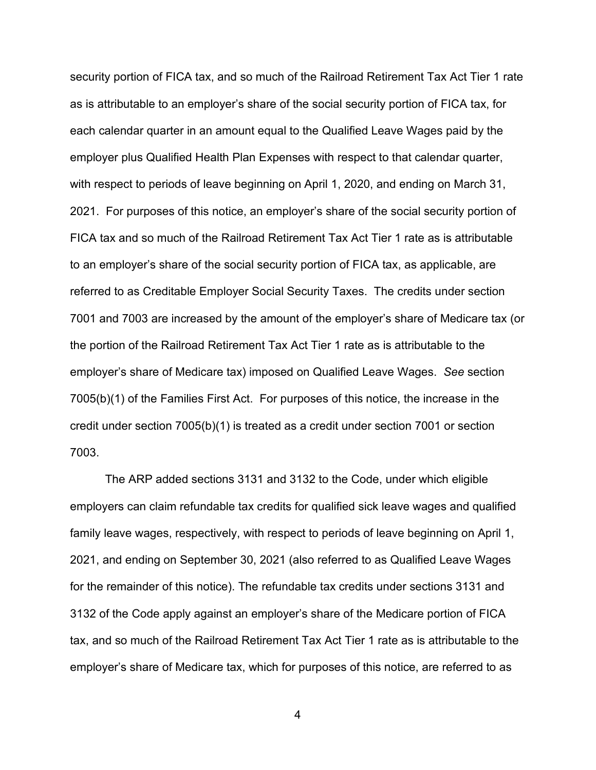security portion of FICA tax, and so much of the Railroad Retirement Tax Act Tier 1 rate as is attributable to an employer's share of the social security portion of FICA tax, for each calendar quarter in an amount equal to the Qualified Leave Wages paid by the employer plus Qualified Health Plan Expenses with respect to that calendar quarter, with respect to periods of leave beginning on April 1, 2020, and ending on March 31, 2021. For purposes of this notice, an employer's share of the social security portion of FICA tax and so much of the Railroad Retirement Tax Act Tier 1 rate as is attributable to an employer's share of the social security portion of FICA tax, as applicable, are referred to as Creditable Employer Social Security Taxes. The credits under section 7001 and 7003 are increased by the amount of the employer's share of Medicare tax (or the portion of the Railroad Retirement Tax Act Tier 1 rate as is attributable to the employer's share of Medicare tax) imposed on Qualified Leave Wages. *See* section 7005(b)(1) of the Families First Act. For purposes of this notice, the increase in the credit under section 7005(b)(1) is treated as a credit under section 7001 or section 7003.

The ARP added sections 3131 and 3132 to the Code, under which eligible employers can claim refundable tax credits for qualified sick leave wages and qualified family leave wages, respectively, with respect to periods of leave beginning on April 1, 2021, and ending on September 30, 2021 (also referred to as Qualified Leave Wages for the remainder of this notice). The refundable tax credits under sections 3131 and 3132 of the Code apply against an employer's share of the Medicare portion of FICA tax, and so much of the Railroad Retirement Tax Act Tier 1 rate as is attributable to the employer's share of Medicare tax, which for purposes of this notice, are referred to as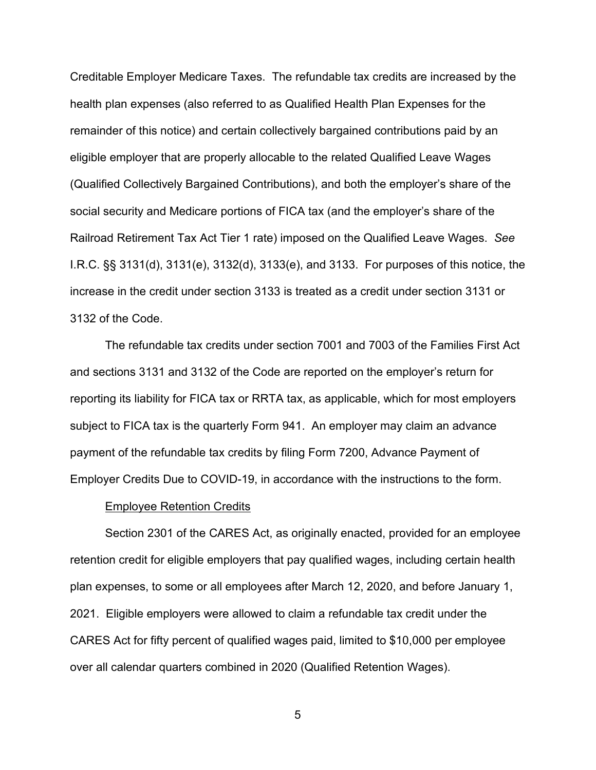Creditable Employer Medicare Taxes. The refundable tax credits are increased by the health plan expenses (also referred to as Qualified Health Plan Expenses for the remainder of this notice) and certain collectively bargained contributions paid by an eligible employer that are properly allocable to the related Qualified Leave Wages (Qualified Collectively Bargained Contributions), and both the employer's share of the social security and Medicare portions of FICA tax (and the employer's share of the Railroad Retirement Tax Act Tier 1 rate) imposed on the Qualified Leave Wages. *See* I.R.C. §§ 3131(d), 3131(e), 3132(d), 3133(e), and 3133. For purposes of this notice, the increase in the credit under section 3133 is treated as a credit under section 3131 or 3132 of the Code.

The refundable tax credits under section 7001 and 7003 of the Families First Act and sections 3131 and 3132 of the Code are reported on the employer's return for reporting its liability for FICA tax or RRTA tax, as applicable, which for most employers subject to FICA tax is the quarterly Form 941. An employer may claim an advance payment of the refundable tax credits by filing Form 7200, Advance Payment of Employer Credits Due to COVID-19, in accordance with the instructions to the form.

#### Employee Retention Credits

Section 2301 of the CARES Act, as originally enacted, provided for an employee retention credit for eligible employers that pay qualified wages, including certain health plan expenses, to some or all employees after March 12, 2020, and before January 1, 2021. Eligible employers were allowed to claim a refundable tax credit under the CARES Act for fifty percent of qualified wages paid, limited to \$10,000 per employee over all calendar quarters combined in 2020 (Qualified Retention Wages).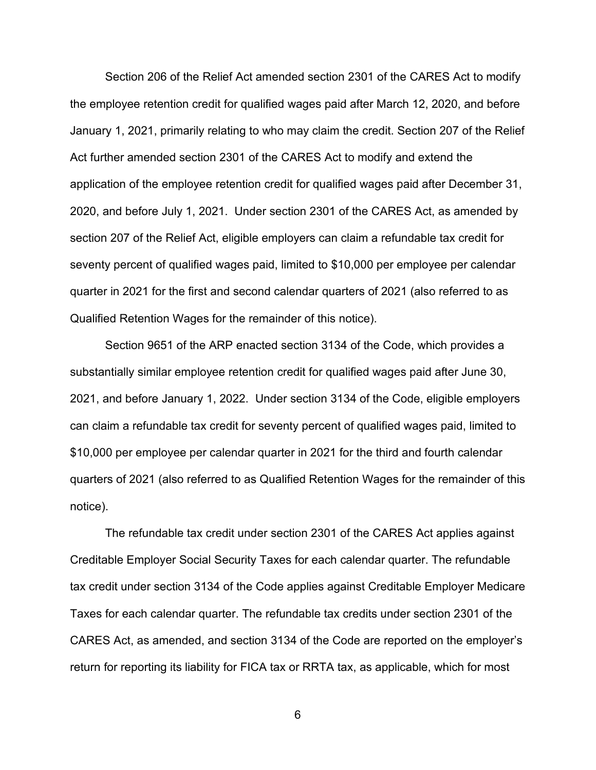Section 206 of the Relief Act amended section 2301 of the CARES Act to modify the employee retention credit for qualified wages paid after March 12, 2020, and before January 1, 2021, primarily relating to who may claim the credit. Section 207 of the Relief Act further amended section 2301 of the CARES Act to modify and extend the application of the employee retention credit for qualified wages paid after December 31, 2020, and before July 1, 2021. Under section 2301 of the CARES Act, as amended by section 207 of the Relief Act, eligible employers can claim a refundable tax credit for seventy percent of qualified wages paid, limited to \$10,000 per employee per calendar quarter in 2021 for the first and second calendar quarters of 2021 (also referred to as Qualified Retention Wages for the remainder of this notice).

Section 9651 of the ARP enacted section 3134 of the Code, which provides a substantially similar employee retention credit for qualified wages paid after June 30, 2021, and before January 1, 2022. Under section 3134 of the Code, eligible employers can claim a refundable tax credit for seventy percent of qualified wages paid, limited to \$10,000 per employee per calendar quarter in 2021 for the third and fourth calendar quarters of 2021 (also referred to as Qualified Retention Wages for the remainder of this notice).

The refundable tax credit under section 2301 of the CARES Act applies against Creditable Employer Social Security Taxes for each calendar quarter. The refundable tax credit under section 3134 of the Code applies against Creditable Employer Medicare Taxes for each calendar quarter. The refundable tax credits under section 2301 of the CARES Act, as amended, and section 3134 of the Code are reported on the employer's return for reporting its liability for FICA tax or RRTA tax, as applicable, which for most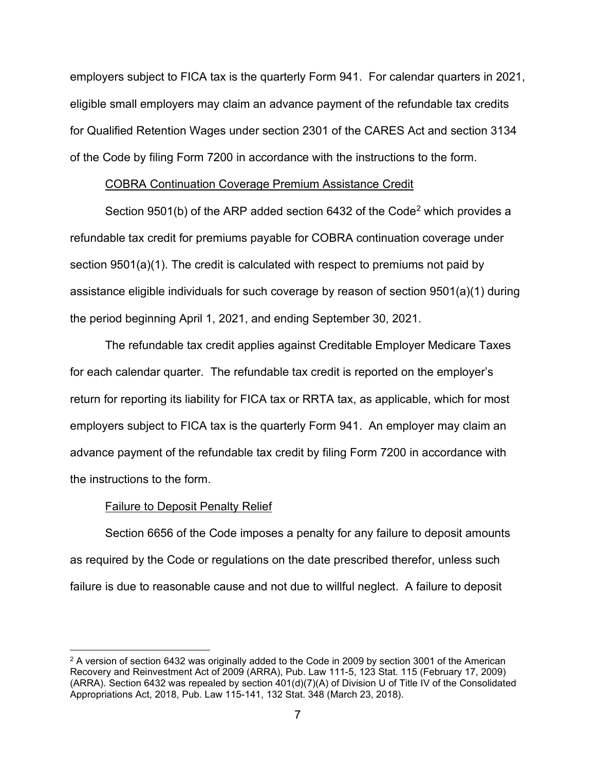employers subject to FICA tax is the quarterly Form 941. For calendar quarters in 2021, eligible small employers may claim an advance payment of the refundable tax credits for Qualified Retention Wages under section 2301 of the CARES Act and section 3134 of the Code by filing Form 7200 in accordance with the instructions to the form.

#### COBRA Continuation Coverage Premium Assistance Credit

Section 9501(b) of the ARP added section 643[2](#page-6-0) of the Code<sup>2</sup> which provides a refundable tax credit for premiums payable for COBRA continuation coverage under section 9501(a)(1). The credit is calculated with respect to premiums not paid by assistance eligible individuals for such coverage by reason of section 9501(a)(1) during the period beginning April 1, 2021, and ending September 30, 2021.

The refundable tax credit applies against Creditable Employer Medicare Taxes for each calendar quarter. The refundable tax credit is reported on the employer's return for reporting its liability for FICA tax or RRTA tax, as applicable, which for most employers subject to FICA tax is the quarterly Form 941. An employer may claim an advance payment of the refundable tax credit by filing Form 7200 in accordance with the instructions to the form.

# Failure to Deposit Penalty Relief

Section 6656 of the Code imposes a penalty for any failure to deposit amounts as required by the Code or regulations on the date prescribed therefor, unless such failure is due to reasonable cause and not due to willful neglect. A failure to deposit

<span id="page-6-0"></span> $2$  A version of section 6432 was originally added to the Code in 2009 by section 3001 of the American Recovery and Reinvestment Act of 2009 (ARRA), Pub. Law 111-5, 123 Stat. 115 (February 17, 2009) (ARRA). Section 6432 was repealed by section 401(d)(7)(A) of Division U of Title IV of the Consolidated Appropriations Act, 2018, Pub. Law 115-141, 132 Stat. 348 (March 23, 2018).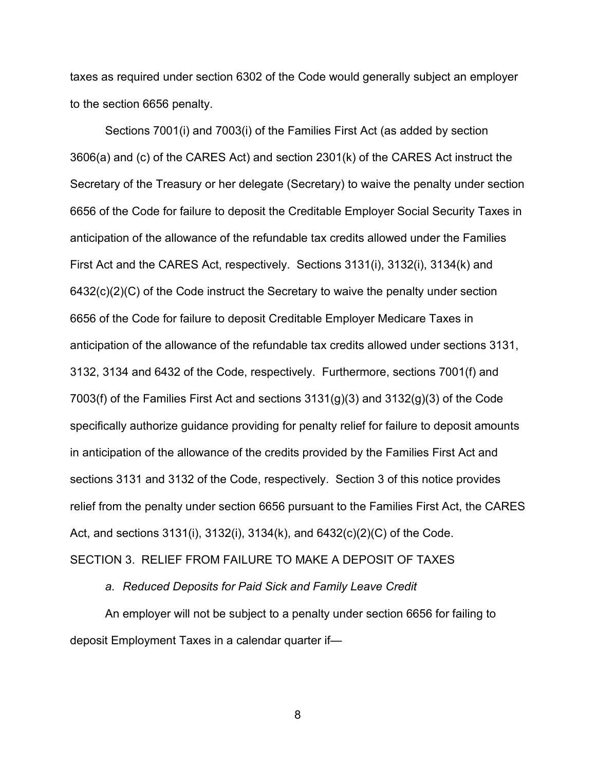taxes as required under section 6302 of the Code would generally subject an employer to the section 6656 penalty.

Sections 7001(i) and 7003(i) of the Families First Act (as added by section 3606(a) and (c) of the CARES Act) and section 2301(k) of the CARES Act instruct the Secretary of the Treasury or her delegate (Secretary) to waive the penalty under section 6656 of the Code for failure to deposit the Creditable Employer Social Security Taxes in anticipation of the allowance of the refundable tax credits allowed under the Families First Act and the CARES Act, respectively. Sections 3131(i), 3132(i), 3134(k) and 6432(c)(2)(C) of the Code instruct the Secretary to waive the penalty under section 6656 of the Code for failure to deposit Creditable Employer Medicare Taxes in anticipation of the allowance of the refundable tax credits allowed under sections 3131, 3132, 3134 and 6432 of the Code, respectively. Furthermore, sections 7001(f) and 7003(f) of the Families First Act and sections  $3131(g)(3)$  and  $3132(g)(3)$  of the Code specifically authorize guidance providing for penalty relief for failure to deposit amounts in anticipation of the allowance of the credits provided by the Families First Act and sections 3131 and 3132 of the Code, respectively. Section 3 of this notice provides relief from the penalty under section 6656 pursuant to the Families First Act, the CARES Act, and sections 3131(i), 3132(i), 3134(k), and 6432(c)(2)(C) of the Code. SECTION 3. RELIEF FROM FAILURE TO MAKE A DEPOSIT OF TAXES

*a. Reduced Deposits for Paid Sick and Family Leave Credit*

An employer will not be subject to a penalty under section 6656 for failing to deposit Employment Taxes in a calendar quarter if—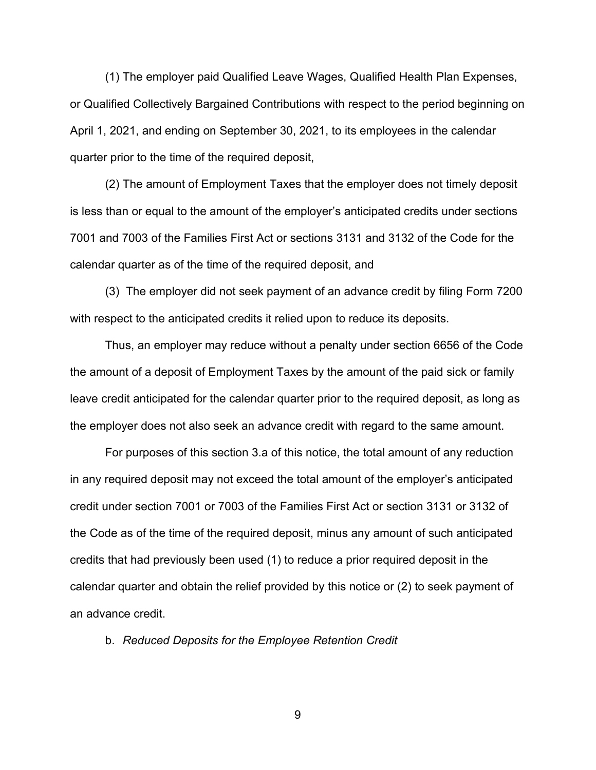(1) The employer paid Qualified Leave Wages, Qualified Health Plan Expenses, or Qualified Collectively Bargained Contributions with respect to the period beginning on April 1, 2021, and ending on September 30, 2021, to its employees in the calendar quarter prior to the time of the required deposit,

(2) The amount of Employment Taxes that the employer does not timely deposit is less than or equal to the amount of the employer's anticipated credits under sections 7001 and 7003 of the Families First Act or sections 3131 and 3132 of the Code for the calendar quarter as of the time of the required deposit, and

(3) The employer did not seek payment of an advance credit by filing Form 7200 with respect to the anticipated credits it relied upon to reduce its deposits.

Thus, an employer may reduce without a penalty under section 6656 of the Code the amount of a deposit of Employment Taxes by the amount of the paid sick or family leave credit anticipated for the calendar quarter prior to the required deposit, as long as the employer does not also seek an advance credit with regard to the same amount.

For purposes of this section 3.a of this notice, the total amount of any reduction in any required deposit may not exceed the total amount of the employer's anticipated credit under section 7001 or 7003 of the Families First Act or section 3131 or 3132 of the Code as of the time of the required deposit, minus any amount of such anticipated credits that had previously been used (1) to reduce a prior required deposit in the calendar quarter and obtain the relief provided by this notice or (2) to seek payment of an advance credit.

b. *Reduced Deposits for the Employee Retention Credit*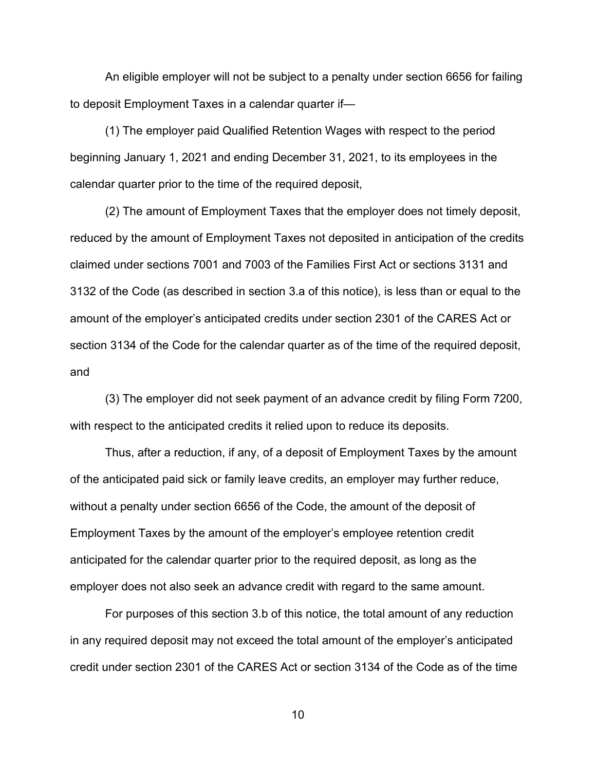An eligible employer will not be subject to a penalty under section 6656 for failing to deposit Employment Taxes in a calendar quarter if—

(1) The employer paid Qualified Retention Wages with respect to the period beginning January 1, 2021 and ending December 31, 2021, to its employees in the calendar quarter prior to the time of the required deposit,

(2) The amount of Employment Taxes that the employer does not timely deposit, reduced by the amount of Employment Taxes not deposited in anticipation of the credits claimed under sections 7001 and 7003 of the Families First Act or sections 3131 and 3132 of the Code (as described in section 3.a of this notice), is less than or equal to the amount of the employer's anticipated credits under section 2301 of the CARES Act or section 3134 of the Code for the calendar quarter as of the time of the required deposit, and

(3) The employer did not seek payment of an advance credit by filing Form 7200, with respect to the anticipated credits it relied upon to reduce its deposits.

Thus, after a reduction, if any, of a deposit of Employment Taxes by the amount of the anticipated paid sick or family leave credits, an employer may further reduce, without a penalty under section 6656 of the Code, the amount of the deposit of Employment Taxes by the amount of the employer's employee retention credit anticipated for the calendar quarter prior to the required deposit, as long as the employer does not also seek an advance credit with regard to the same amount.

For purposes of this section 3.b of this notice, the total amount of any reduction in any required deposit may not exceed the total amount of the employer's anticipated credit under section 2301 of the CARES Act or section 3134 of the Code as of the time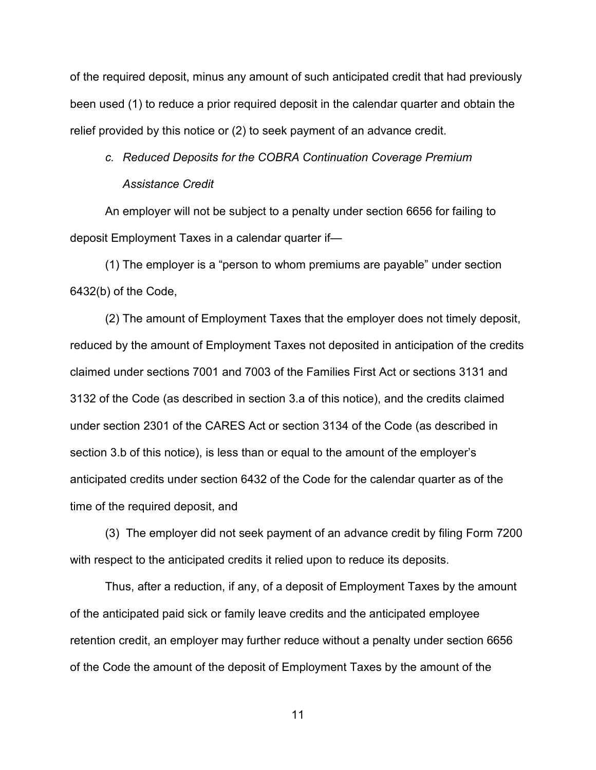of the required deposit, minus any amount of such anticipated credit that had previously been used (1) to reduce a prior required deposit in the calendar quarter and obtain the relief provided by this notice or (2) to seek payment of an advance credit.

# *c. Reduced Deposits for the COBRA Continuation Coverage Premium Assistance Credit*

An employer will not be subject to a penalty under section 6656 for failing to deposit Employment Taxes in a calendar quarter if—

(1) The employer is a "person to whom premiums are payable" under section 6432(b) of the Code,

(2) The amount of Employment Taxes that the employer does not timely deposit, reduced by the amount of Employment Taxes not deposited in anticipation of the credits claimed under sections 7001 and 7003 of the Families First Act or sections 3131 and 3132 of the Code (as described in section 3.a of this notice), and the credits claimed under section 2301 of the CARES Act or section 3134 of the Code (as described in section 3.b of this notice), is less than or equal to the amount of the employer's anticipated credits under section 6432 of the Code for the calendar quarter as of the time of the required deposit, and

(3) The employer did not seek payment of an advance credit by filing Form 7200 with respect to the anticipated credits it relied upon to reduce its deposits.

Thus, after a reduction, if any, of a deposit of Employment Taxes by the amount of the anticipated paid sick or family leave credits and the anticipated employee retention credit, an employer may further reduce without a penalty under section 6656 of the Code the amount of the deposit of Employment Taxes by the amount of the